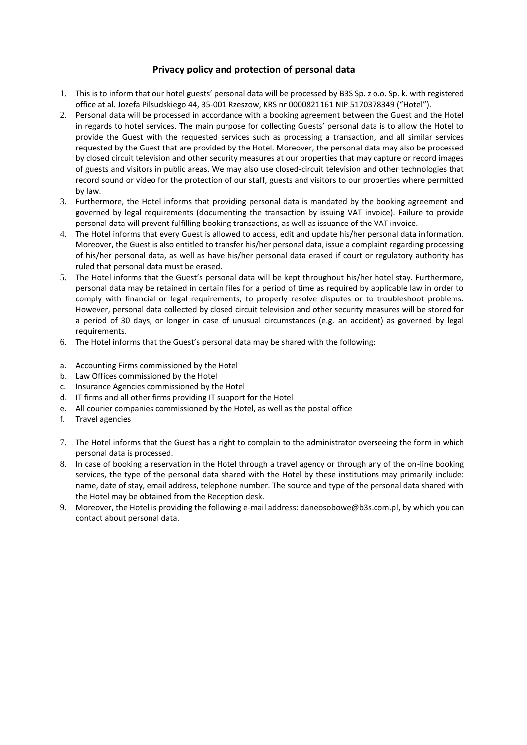## **Privacy policy and protection of personal data**

- 1. This is to inform that our hotel guests' personal data will be processed by B3S Sp. z o.o. Sp. k. with registered office at al. Jozefa Pilsudskiego 44, 35-001 Rzeszow, KRS nr 0000821161 NIP 5170378349 ("Hotel").
- 2. Personal data will be processed in accordance with a booking agreement between the Guest and the Hotel in regards to hotel services. The main purpose for collecting Guests' personal data is to allow the Hotel to provide the Guest with the requested services such as processing a transaction, and all similar services requested by the Guest that are provided by the Hotel. Moreover, the personal data may also be processed by closed circuit television and other security measures at our properties that may capture or record images of guests and visitors in public areas. We may also use closed-circuit television and other technologies that record sound or video for the protection of our staff, guests and visitors to our properties where permitted by law.
- 3. Furthermore, the Hotel informs that providing personal data is mandated by the booking agreement and governed by legal requirements (documenting the transaction by issuing VAT invoice). Failure to provide personal data will prevent fulfilling booking transactions, as well as issuance of the VAT invoice.
- 4. The Hotel informs that every Guest is allowed to access, edit and update his/her personal data information. Moreover, the Guest is also entitled to transfer his/her personal data, issue a complaint regarding processing of his/her personal data, as well as have his/her personal data erased if court or regulatory authority has ruled that personal data must be erased.
- 5. The Hotel informs that the Guest's personal data will be kept throughout his/her hotel stay. Furthermore, personal data may be retained in certain files for a period of time as required by applicable law in order to comply with financial or legal requirements, to properly resolve disputes or to troubleshoot problems. However, personal data collected by closed circuit television and other security measures will be stored for a period of 30 days, or longer in case of unusual circumstances (e.g. an accident) as governed by legal requirements.
- 6. The Hotel informs that the Guest's personal data may be shared with the following:
- a. Accounting Firms commissioned by the Hotel
- b. Law Offices commissioned by the Hotel
- c. Insurance Agencies commissioned by the Hotel
- d. IT firms and all other firms providing IT support for the Hotel
- e. All courier companies commissioned by the Hotel, as well as the postal office
- f. Travel agencies
- 7. The Hotel informs that the Guest has a right to complain to the administrator overseeing the form in which personal data is processed.
- 8. In case of booking a reservation in the Hotel through a travel agency or through any of the on-line booking services, the type of the personal data shared with the Hotel by these institutions may primarily include: name, date of stay, email address, telephone number. The source and type of the personal data shared with the Hotel may be obtained from the Reception desk.
- 9. Moreover, the Hotel is providing the following e-mail address: daneosobowe@b3s.com.pl, by which you can contact about personal data.